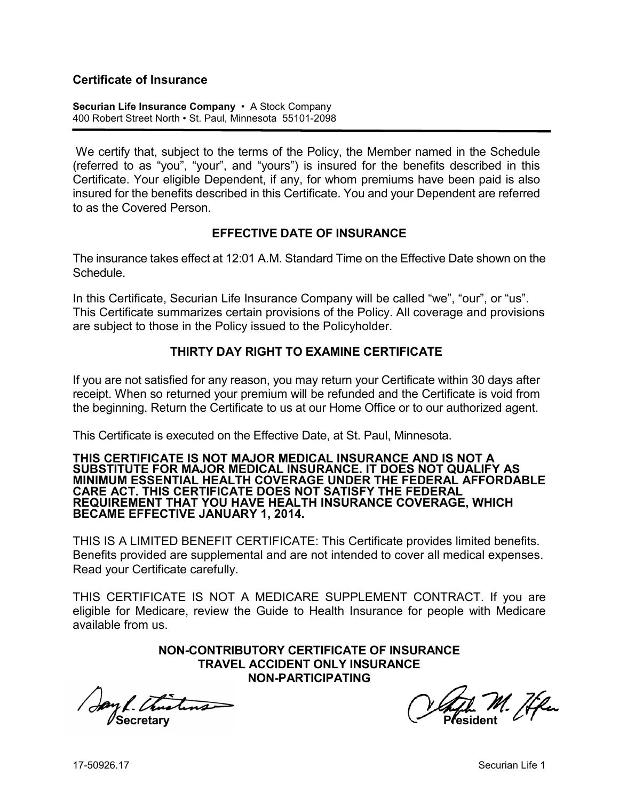## **Certificate of Insurance**

**Securian Life Insurance Company** • A Stock Company 400 Robert Street North • St. Paul, Minnesota 55101-2098

We certify that, subject to the terms of the Policy, the Member named in the Schedule (referred to as "you", "your", and "yours") is insured for the benefits described in this Certificate. Your eligible Dependent, if any, for whom premiums have been paid is also insured for the benefits described in this Certificate. You and your Dependent are referred to as the Covered Person.

## **EFFECTIVE DATE OF INSURANCE**

The insurance takes effect at 12:01 A.M. Standard Time on the Effective Date shown on the **Schedule** 

In this Certificate, Securian Life Insurance Company will be called "we", "our", or "us". This Certificate summarizes certain provisions of the Policy. All coverage and provisions are subject to those in the Policy issued to the Policyholder.

## **THIRTY DAY RIGHT TO EXAMINE CERTIFICATE**

If you are not satisfied for any reason, you may return your Certificate within 30 days after receipt. When so returned your premium will be refunded and the Certificate is void from the beginning. Return the Certificate to us at our Home Office or to our authorized agent.

This Certificate is executed on the Effective Date, at St. Paul, Minnesota.

#### **THIS CERTIFICATE IS NOT MAJOR MEDICAL INSURANCE AND IS NOT A SUBSTITUTE FOR MAJOR MEDICAL INSURANCE. IT DOES NOT QUALIFY AS MINIMUM ESSENTIAL HEALTH COVERAGE UNDER THE FEDERAL AFFORDABLE CARE ACT. THIS CERTIFICATE DOES NOT SATISFY THE FEDERAL REQUIREMENT THAT YOU HAVE HEALTH INSURANCE COVERAGE, WHICH BECAME EFFECTIVE JANUARY 1, 2014.**

THIS IS A LIMITED BENEFIT CERTIFICATE: This Certificate provides limited benefits. Benefits provided are supplemental and are not intended to cover all medical expenses. Read your Certificate carefully.

THIS CERTIFICATE IS NOT A MEDICARE SUPPLEMENT CONTRACT. If you are eligible for Medicare, review the Guide to Health Insurance for people with Medicare available from us.

> **NON-CONTRIBUTORY CERTIFICATE OF INSURANCE TRAVEL ACCIDENT ONLY INSURANCE NON-PARTICIPATING**

**Secretary Construction Construction Construction President** 

M. Æku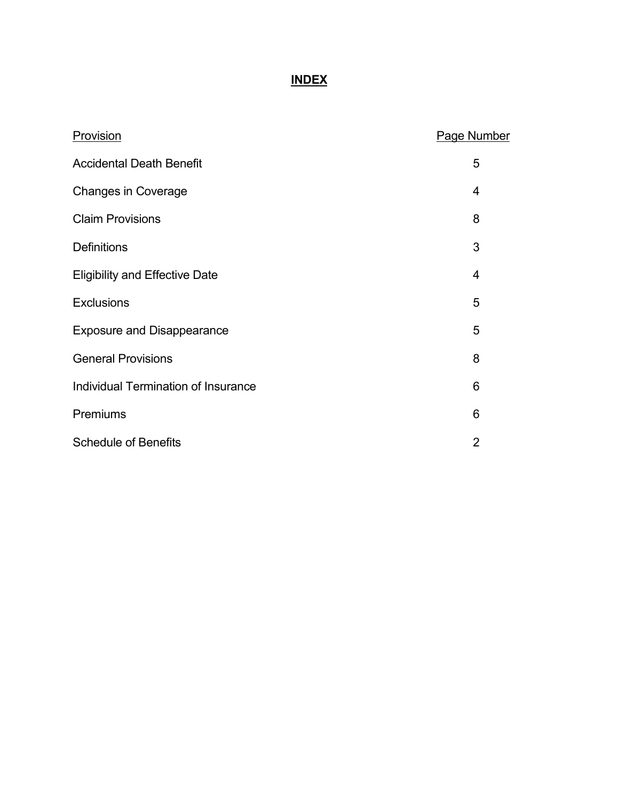# **INDEX**

| Provision                             | <b>Page Number</b> |
|---------------------------------------|--------------------|
| <b>Accidental Death Benefit</b>       | 5                  |
| <b>Changes in Coverage</b>            | 4                  |
| <b>Claim Provisions</b>               | 8                  |
| <b>Definitions</b>                    | 3                  |
| <b>Eligibility and Effective Date</b> | 4                  |
| <b>Exclusions</b>                     | 5                  |
| <b>Exposure and Disappearance</b>     | 5                  |
| <b>General Provisions</b>             | 8                  |
| Individual Termination of Insurance   | 6                  |
| Premiums                              | 6                  |
| <b>Schedule of Benefits</b>           | $\overline{2}$     |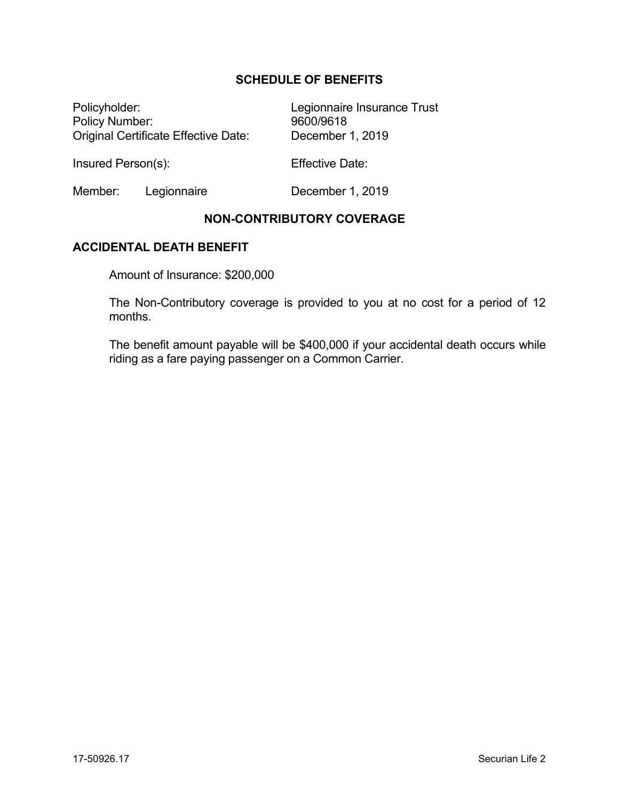## **SCHEDULE OF BENEFITS**

Policyholder: Legionnaire Insurance Trust Policy Number: 9600/9618 Original Certificate Effective Date: December 1, 2019

Insured Person(s): Effective Date:

Member: Legionnaire December 1, 2019

## **NON-CONTRIBUTORY COVERAGE**

### **ACCIDENTAL DEATH BENEFIT**

Amount of Insurance: \$200,000

The Non-Contributory coverage is provided to you at no cost for a period of 12 months.

The benefit amount payable will be \$400,000 if your accidental death occurs while riding as a fare paying passenger on a Common Carrier.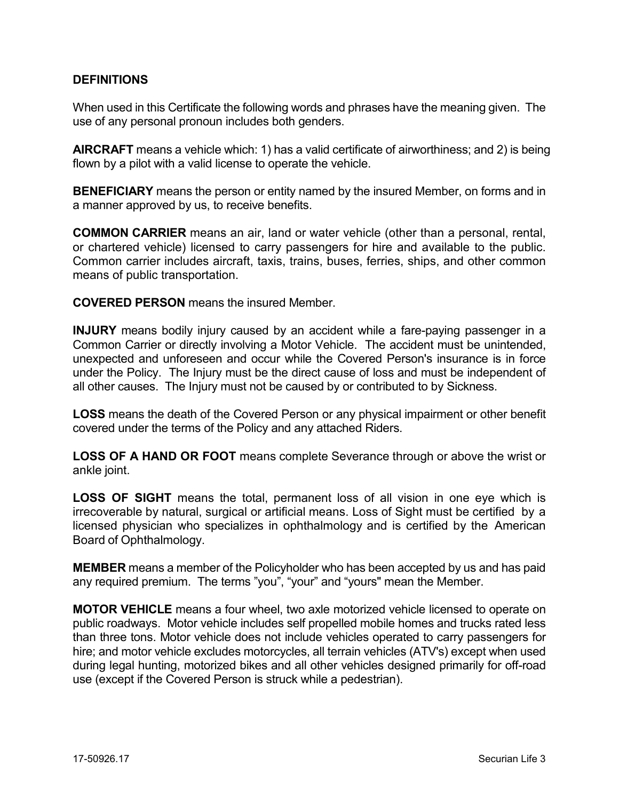## **DEFINITIONS**

When used in this Certificate the following words and phrases have the meaning given. The use of any personal pronoun includes both genders.

**AIRCRAFT** means a vehicle which: 1) has a valid certificate of airworthiness; and 2) is being flown by a pilot with a valid license to operate the vehicle.

**BENEFICIARY** means the person or entity named by the insured Member, on forms and in a manner approved by us, to receive benefits.

**COMMON CARRIER** means an air, land or water vehicle (other than a personal, rental, or chartered vehicle) licensed to carry passengers for hire and available to the public. Common carrier includes aircraft, taxis, trains, buses, ferries, ships, and other common means of public transportation.

**COVERED PERSON** means the insured Member.

**INJURY** means bodily injury caused by an accident while a fare-paying passenger in a Common Carrier or directly involving a Motor Vehicle. The accident must be unintended, unexpected and unforeseen and occur while the Covered Person's insurance is in force under the Policy. The Injury must be the direct cause of loss and must be independent of all other causes. The Injury must not be caused by or contributed to by Sickness.

**LOSS** means the death of the Covered Person or any physical impairment or other benefit covered under the terms of the Policy and any attached Riders.

**LOSS OF A HAND OR FOOT** means complete Severance through or above the wrist or ankle joint.

**LOSS OF SIGHT** means the total, permanent loss of all vision in one eye which is irrecoverable by natural, surgical or artificial means. Loss of Sight must be certified by a licensed physician who specializes in ophthalmology and is certified by the American Board of Ophthalmology.

**MEMBER** means a member of the Policyholder who has been accepted by us and has paid any required premium. The terms "you", "your" and "yours" mean the Member.

**MOTOR VEHICLE** means a four wheel, two axle motorized vehicle licensed to operate on public roadways. Motor vehicle includes self propelled mobile homes and trucks rated less than three tons. Motor vehicle does not include vehicles operated to carry passengers for hire; and motor vehicle excludes motorcycles, all terrain vehicles (ATV's) except when used during legal hunting, motorized bikes and all other vehicles designed primarily for off-road use (except if the Covered Person is struck while a pedestrian).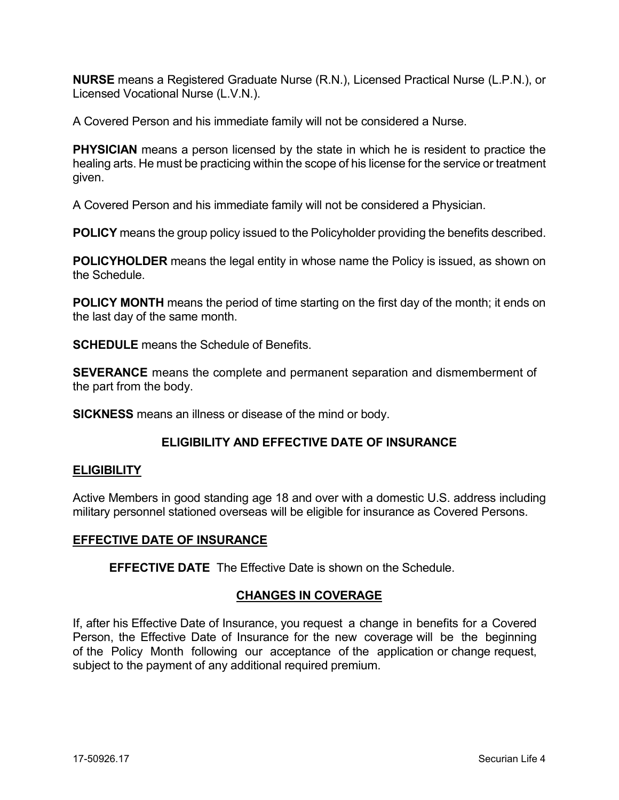**NURSE** means a Registered Graduate Nurse (R.N.), Licensed Practical Nurse (L.P.N.), or Licensed Vocational Nurse (L.V.N.).

A Covered Person and his immediate family will not be considered a Nurse.

**PHYSICIAN** means a person licensed by the state in which he is resident to practice the healing arts. He must be practicing within the scope of his license for the service or treatment given.

A Covered Person and his immediate family will not be considered a Physician.

**POLICY** means the group policy issued to the Policyholder providing the benefits described.

**POLICYHOLDER** means the legal entity in whose name the Policy is issued, as shown on the Schedule.

**POLICY MONTH** means the period of time starting on the first day of the month; it ends on the last day of the same month.

**SCHEDULE** means the Schedule of Benefits.

**SEVERANCE** means the complete and permanent separation and dismemberment of the part from the body.

**SICKNESS** means an illness or disease of the mind or body.

## **ELIGIBILITY AND EFFECTIVE DATE OF INSURANCE**

#### **ELIGIBILITY**

Active Members in good standing age 18 and over with a domestic U.S. address including military personnel stationed overseas will be eligible for insurance as Covered Persons.

#### **EFFECTIVE DATE OF INSURANCE**

**EFFECTIVE DATE** The Effective Date is shown on the Schedule.

## **CHANGES IN COVERAGE**

If, after his Effective Date of Insurance, you request a change in benefits for a Covered Person, the Effective Date of Insurance for the new coverage will be the beginning of the Policy Month following our acceptance of the application or change request, subject to the payment of any additional required premium.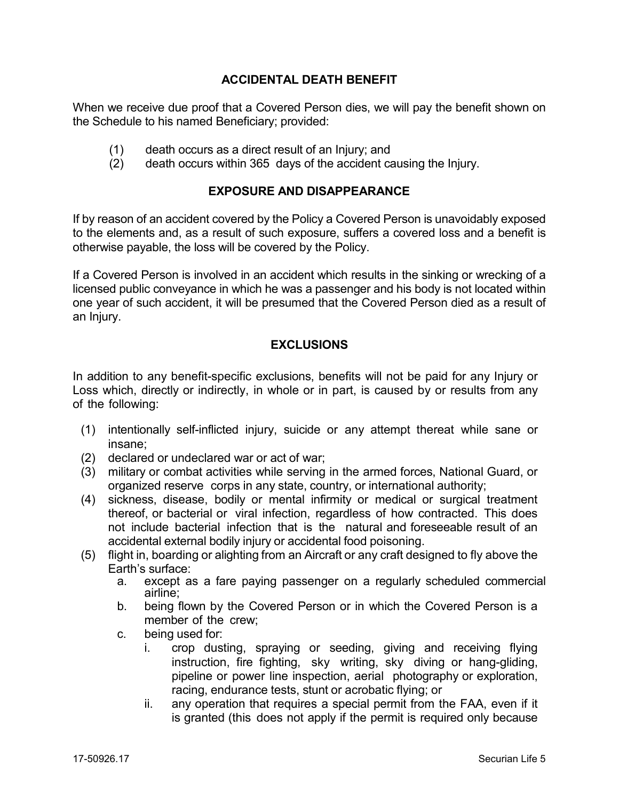## **ACCIDENTAL DEATH BENEFIT**

When we receive due proof that a Covered Person dies, we will pay the benefit shown on the Schedule to his named Beneficiary; provided:

- (1) death occurs as a direct result of an Injury; and
- (2) death occurs within 365 days of the accident causing the Injury.

## **EXPOSURE AND DISAPPEARANCE**

If by reason of an accident covered by the Policy a Covered Person is unavoidably exposed to the elements and, as a result of such exposure, suffers a covered loss and a benefit is otherwise payable, the loss will be covered by the Policy.

If a Covered Person is involved in an accident which results in the sinking or wrecking of a licensed public conveyance in which he was a passenger and his body is not located within one year of such accident, it will be presumed that the Covered Person died as a result of an Injury.

## **EXCLUSIONS**

In addition to any benefit-specific exclusions, benefits will not be paid for any Injury or Loss which, directly or indirectly, in whole or in part, is caused by or results from any of the following:

- (1) intentionally self-inflicted injury, suicide or any attempt thereat while sane or insane;
- (2) declared or undeclared war or act of war;
- (3) military or combat activities while serving in the armed forces, National Guard, or organized reserve corps in any state, country, or international authority;
- (4) sickness, disease, bodily or mental infirmity or medical or surgical treatment thereof, or bacterial or viral infection, regardless of how contracted. This does not include bacterial infection that is the natural and foreseeable result of an accidental external bodily injury or accidental food poisoning.
- (5) flight in, boarding or alighting from an Aircraft or any craft designed to fly above the Earth's surface:
	- a. except as a fare paying passenger on a regularly scheduled commercial airline;
	- b. being flown by the Covered Person or in which the Covered Person is a member of the crew;
	- c. being used for:
		- i. crop dusting, spraying or seeding, giving and receiving flying instruction, fire fighting, sky writing, sky diving or hang-gliding, pipeline or power line inspection, aerial photography or exploration, racing, endurance tests, stunt or acrobatic flying; or
		- ii. any operation that requires a special permit from the FAA, even if it is granted (this does not apply if the permit is required only because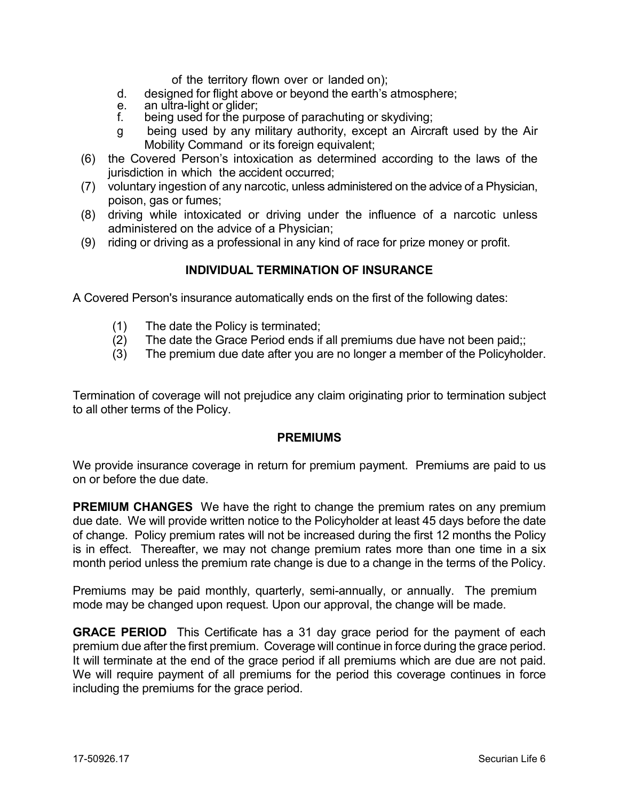of the territory flown over or landed on);

- d. designed for flight above or beyond the earth's atmosphere;<br>e. an ultra-light or glider:
- e. an ultra-light or glider;<br>f. being used for the pur
- being used for the purpose of parachuting or skydiving;
- g being used by any military authority, except an Aircraft used by the Air Mobility Command or its foreign equivalent;
- (6) the Covered Person's intoxication as determined according to the laws of the jurisdiction in which the accident occurred;
- (7) voluntary ingestion of any narcotic, unless administered on the advice of a Physician, poison, gas or fumes;
- (8) driving while intoxicated or driving under the influence of a narcotic unless administered on the advice of a Physician;
- (9) riding or driving as a professional in any kind of race for prize money or profit.

### **INDIVIDUAL TERMINATION OF INSURANCE**

A Covered Person's insurance automatically ends on the first of the following dates:

- (1) The date the Policy is terminated;
- (2) The date the Grace Period ends if all premiums due have not been paid;;
- (3) The premium due date after you are no longer a member of the Policyholder.

Termination of coverage will not prejudice any claim originating prior to termination subject to all other terms of the Policy.

#### **PREMIUMS**

We provide insurance coverage in return for premium payment. Premiums are paid to us on or before the due date.

**PREMIUM CHANGES** We have the right to change the premium rates on any premium due date. We will provide written notice to the Policyholder at least 45 days before the date of change. Policy premium rates will not be increased during the first 12 months the Policy is in effect. Thereafter, we may not change premium rates more than one time in a six month period unless the premium rate change is due to a change in the terms of the Policy.

Premiums may be paid monthly, quarterly, semi-annually, or annually. The premium mode may be changed upon request. Upon our approval, the change will be made.

**GRACE PERIOD** This Certificate has a 31 day grace period for the payment of each premium due after the first premium. Coverage will continue in force during the grace period. It will terminate at the end of the grace period if all premiums which are due are not paid. We will require payment of all premiums for the period this coverage continues in force including the premiums for the grace period.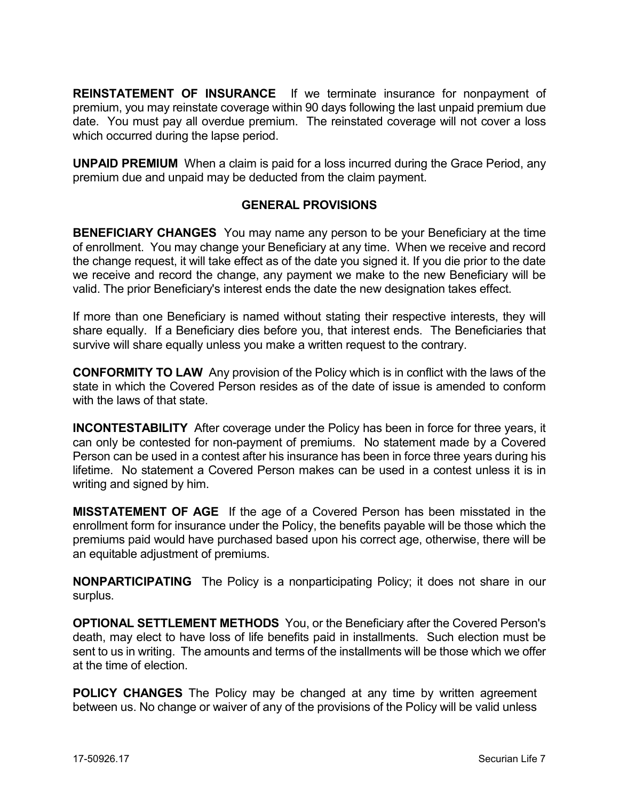**REINSTATEMENT OF INSURANCE** If we terminate insurance for nonpayment of premium, you may reinstate coverage within 90 days following the last unpaid premium due date. You must pay all overdue premium. The reinstated coverage will not cover a loss which occurred during the lapse period.

**UNPAID PREMIUM** When a claim is paid for a loss incurred during the Grace Period, any premium due and unpaid may be deducted from the claim payment.

## **GENERAL PROVISIONS**

**BENEFICIARY CHANGES** You may name any person to be your Beneficiary at the time of enrollment. You may change your Beneficiary at any time. When we receive and record the change request, it will take effect as of the date you signed it. If you die prior to the date we receive and record the change, any payment we make to the new Beneficiary will be valid. The prior Beneficiary's interest ends the date the new designation takes effect.

If more than one Beneficiary is named without stating their respective interests, they will share equally. If a Beneficiary dies before you, that interest ends. The Beneficiaries that survive will share equally unless you make a written request to the contrary.

**CONFORMITY TO LAW** Any provision of the Policy which is in conflict with the laws of the state in which the Covered Person resides as of the date of issue is amended to conform with the laws of that state.

**INCONTESTABILITY** After coverage under the Policy has been in force for three years, it can only be contested for non-payment of premiums. No statement made by a Covered Person can be used in a contest after his insurance has been in force three years during his lifetime. No statement a Covered Person makes can be used in a contest unless it is in writing and signed by him.

**MISSTATEMENT OF AGE** If the age of a Covered Person has been misstated in the enrollment form for insurance under the Policy, the benefits payable will be those which the premiums paid would have purchased based upon his correct age, otherwise, there will be an equitable adjustment of premiums.

**NONPARTICIPATING** The Policy is a nonparticipating Policy; it does not share in our surplus.

**OPTIONAL SETTLEMENT METHODS** You, or the Beneficiary after the Covered Person's death, may elect to have loss of life benefits paid in installments. Such election must be sent to us in writing. The amounts and terms of the installments will be those which we offer at the time of election.

**POLICY CHANGES** The Policy may be changed at any time by written agreement between us. No change or waiver of any of the provisions of the Policy will be valid unless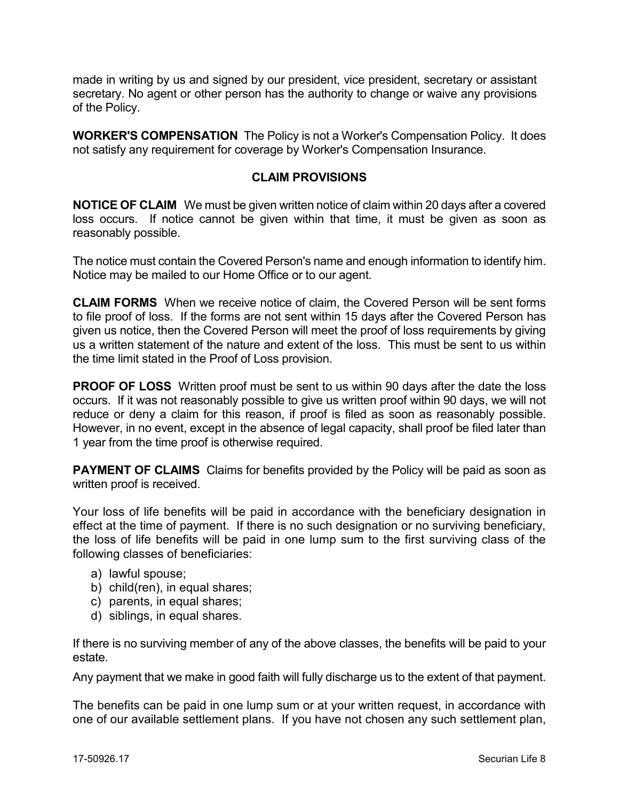made in writing by us and signed by our president, vice president, secretary or assistant secretary. No agent or other person has the authority to change or waive any provisions of the Policy.

**WORKER'S COMPENSATION** The Policy is not a Worker's Compensation Policy. It does not satisfy any requirement for coverage by Worker's Compensation Insurance.

## **CLAIM PROVISIONS**

**NOTICE OF CLAIM** We must be given written notice of claim within 20 days after a covered loss occurs. If notice cannot be given within that time, it must be given as soon as reasonably possible.

The notice must contain the Covered Person's name and enough information to identify him. Notice may be mailed to our Home Office or to our agent.

**CLAIM FORMS** When we receive notice of claim, the Covered Person will be sent forms to file proof of loss. If the forms are not sent within 15 days after the Covered Person has given us notice, then the Covered Person will meet the proof of loss requirements by giving us a written statement of the nature and extent of the loss. This must be sent to us within the time limit stated in the Proof of Loss provision.

**PROOF OF LOSS** Written proof must be sent to us within 90 days after the date the loss occurs. If it was not reasonably possible to give us written proof within 90 days, we will not reduce or deny a claim for this reason, if proof is filed as soon as reasonably possible. However, in no event, except in the absence of legal capacity, shall proof be filed later than 1 year from the time proof is otherwise required.

**PAYMENT OF CLAIMS** Claims for benefits provided by the Policy will be paid as soon as written proof is received.

Your loss of life benefits will be paid in accordance with the beneficiary designation in effect at the time of payment. If there is no such designation or no surviving beneficiary, the loss of life benefits will be paid in one lump sum to the first surviving class of the following classes of beneficiaries:

- a) lawful spouse;
- b) child(ren), in equal shares;
- c) parents, in equal shares;
- d) siblings, in equal shares.

If there is no surviving member of any of the above classes, the benefits will be paid to your estate.

Any payment that we make in good faith will fully discharge us to the extent of that payment.

The benefits can be paid in one lump sum or at your written request, in accordance with one of our available settlement plans. If you have not chosen any such settlement plan,